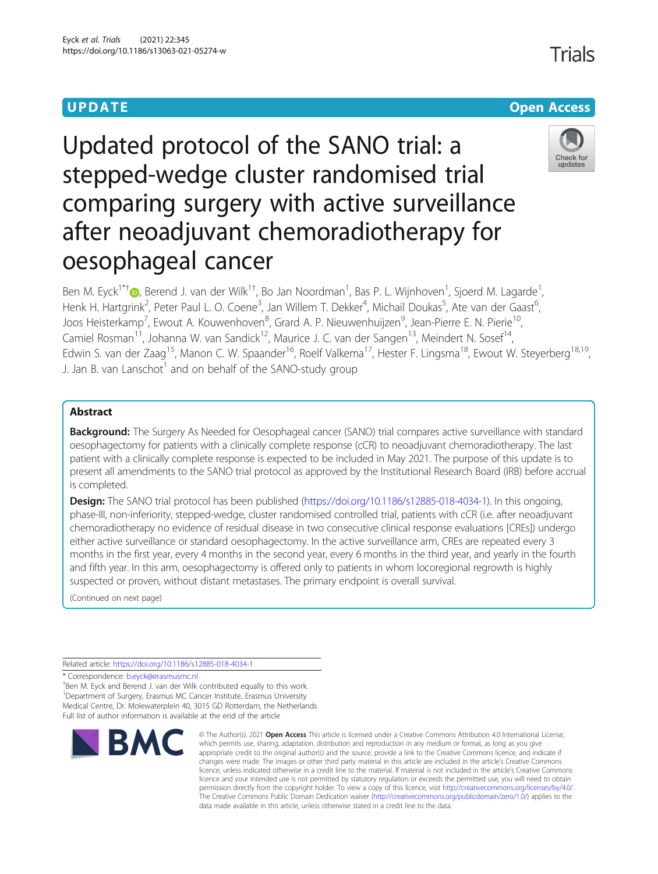# **UPDATE CONSERVATION CONSERVATION**

# Updated protocol of the SANO trial: a stepped-wedge cluster randomised trial comparing surgery with active surveillance after neoadjuvant chemoradiotherapy for oesophageal cancer



Ben M. Eyck<sup>1\*[†](http://orcid.org/0000-0001-8717-596X)</sup>®, Berend J. van der Wilk<sup>1†</sup>, Bo Jan Noordman<sup>1</sup>, Bas P. L. Wijnhoven<sup>1</sup>, Sjoerd M. Lagarde<sup>1</sup> , Henk H. Hartgrink<sup>2</sup>, Peter Paul L. O. Coene<sup>3</sup>, Jan Willem T. Dekker<sup>4</sup>, Michail Doukas<sup>5</sup>, Ate van der Gaast<sup>6</sup> , Joos Heisterkamp<sup>7</sup>, Ewout A. Kouwenhoven<sup>8</sup>, Grard A. P. Nieuwenhuijzen<sup>9</sup>, Jean-Pierre E. N. Pierie<sup>10</sup>, Camiel Rosman<sup>11</sup>, Johanna W. van Sandick<sup>12</sup>, Maurice J. C. van der Sangen<sup>13</sup>, Meindert N. Sosef<sup>14</sup>, Edwin S. van der Zaag<sup>15</sup>, Manon C. W. Spaander<sup>16</sup>, Roelf Valkema<sup>17</sup>, Hester F. Lingsma<sup>18</sup>, Ewout W. Steyerberg<sup>18,19</sup>, J. Jan B. van Lanschot $<sup>1</sup>$  and on behalf of the SANO-study group</sup>

## Abstract

Background: The Surgery As Needed for Oesophageal cancer (SANO) trial compares active surveillance with standard oesophagectomy for patients with a clinically complete response (cCR) to neoadjuvant chemoradiotherapy. The last patient with a clinically complete response is expected to be included in May 2021. The purpose of this update is to present all amendments to the SANO trial protocol as approved by the Institutional Research Board (IRB) before accrual is completed.

Design: The SANO trial protocol has been published [\(https://doi.org/10.1186/s12885-018-4034-1\)](https://doi.org/10.1186/s12885-018-4034-1). In this ongoing, phase-III, non-inferiority, stepped-wedge, cluster randomised controlled trial, patients with cCR (i.e. after neoadjuvant chemoradiotherapy no evidence of residual disease in two consecutive clinical response evaluations [CREs]) undergo either active surveillance or standard oesophagectomy. In the active surveillance arm, CREs are repeated every 3 months in the first year, every 4 months in the second year, every 6 months in the third year, and yearly in the fourth and fifth year. In this arm, oesophagectomy is offered only to patients in whom locoregional regrowth is highly suspected or proven, without distant metastases. The primary endpoint is overall survival.

(Continued on next page)

Related article: <https://doi.org/10.1186/s12885-018-4034-1>

\* Correspondence: [b.eyck@erasmusmc.nl](mailto:b.eyck@erasmusmc.nl) †

<sup>+</sup>Ben M. Eyck and Berend J. van der Wilk contributed equally to this work. <sup>1</sup>Department of Surgery, Erasmus MC Cancer Institute, Erasmus University Medical Centre, Dr. Molewaterplein 40, 3015 GD Rotterdam, the Netherlands Full list of author information is available at the end of the article



<sup>©</sup> The Author(s), 2021 **Open Access** This article is licensed under a Creative Commons Attribution 4.0 International License, which permits use, sharing, adaptation, distribution and reproduction in any medium or format, as long as you give appropriate credit to the original author(s) and the source, provide a link to the Creative Commons licence, and indicate if changes were made. The images or other third party material in this article are included in the article's Creative Commons licence, unless indicated otherwise in a credit line to the material. If material is not included in the article's Creative Commons licence and your intended use is not permitted by statutory regulation or exceeds the permitted use, you will need to obtain permission directly from the copyright holder. To view a copy of this licence, visit [http://creativecommons.org/licenses/by/4.0/.](http://creativecommons.org/licenses/by/4.0/) The Creative Commons Public Domain Dedication waiver [\(http://creativecommons.org/publicdomain/zero/1.0/](http://creativecommons.org/publicdomain/zero/1.0/)) applies to the data made available in this article, unless otherwise stated in a credit line to the data.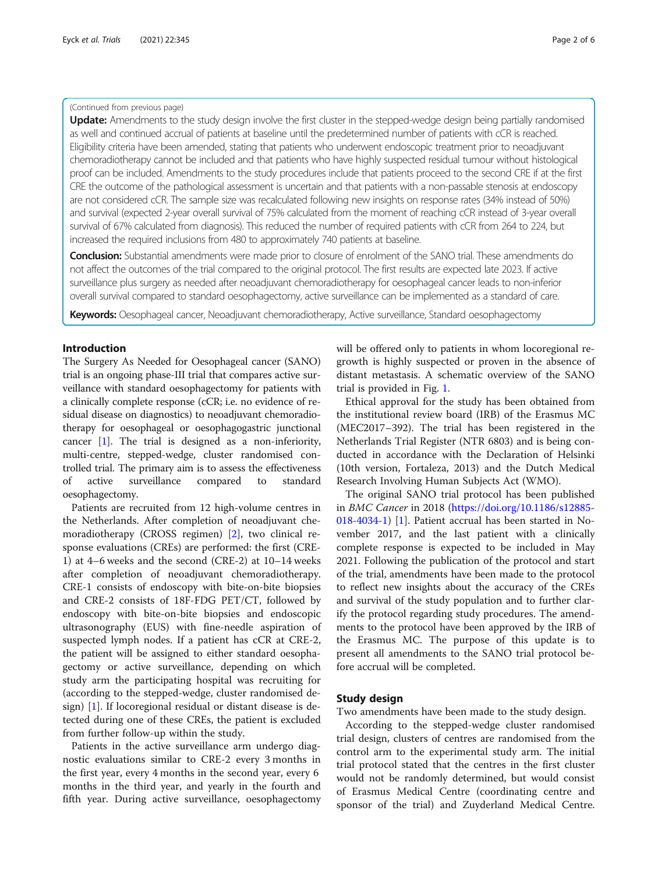#### (Continued from previous page)

Update: Amendments to the study design involve the first cluster in the stepped-wedge design being partially randomised as well and continued accrual of patients at baseline until the predetermined number of patients with cCR is reached. Eligibility criteria have been amended, stating that patients who underwent endoscopic treatment prior to neoadjuvant chemoradiotherapy cannot be included and that patients who have highly suspected residual tumour without histological proof can be included. Amendments to the study procedures include that patients proceed to the second CRE if at the first CRE the outcome of the pathological assessment is uncertain and that patients with a non-passable stenosis at endoscopy are not considered cCR. The sample size was recalculated following new insights on response rates (34% instead of 50%) and survival (expected 2-year overall survival of 75% calculated from the moment of reaching cCR instead of 3-year overall survival of 67% calculated from diagnosis). This reduced the number of required patients with cCR from 264 to 224, but increased the required inclusions from 480 to approximately 740 patients at baseline.

**Conclusion:** Substantial amendments were made prior to closure of enrolment of the SANO trial. These amendments do not affect the outcomes of the trial compared to the original protocol. The first results are expected late 2023. If active surveillance plus surgery as needed after neoadjuvant chemoradiotherapy for oesophageal cancer leads to non-inferior overall survival compared to standard oesophagectomy, active surveillance can be implemented as a standard of care.

Keywords: Oesophageal cancer, Neoadjuvant chemoradiotherapy, Active surveillance, Standard oesophagectomy

### Introduction

The Surgery As Needed for Oesophageal cancer (SANO) trial is an ongoing phase-III trial that compares active surveillance with standard oesophagectomy for patients with a clinically complete response (cCR; i.e. no evidence of residual disease on diagnostics) to neoadjuvant chemoradiotherapy for oesophageal or oesophagogastric junctional cancer [\[1\]](#page-5-0). The trial is designed as a non-inferiority, multi-centre, stepped-wedge, cluster randomised controlled trial. The primary aim is to assess the effectiveness of active surveillance compared to standard oesophagectomy.

Patients are recruited from 12 high-volume centres in the Netherlands. After completion of neoadjuvant chemoradiotherapy (CROSS regimen) [[2\]](#page-5-0), two clinical response evaluations (CREs) are performed: the first (CRE-1) at 4–6 weeks and the second (CRE-2) at 10–14 weeks after completion of neoadjuvant chemoradiotherapy. CRE-1 consists of endoscopy with bite-on-bite biopsies and CRE-2 consists of 18F-FDG PET/CT, followed by endoscopy with bite-on-bite biopsies and endoscopic ultrasonography (EUS) with fine-needle aspiration of suspected lymph nodes. If a patient has cCR at CRE-2, the patient will be assigned to either standard oesophagectomy or active surveillance, depending on which study arm the participating hospital was recruiting for (according to the stepped-wedge, cluster randomised design) [[1\]](#page-5-0). If locoregional residual or distant disease is detected during one of these CREs, the patient is excluded from further follow-up within the study.

Patients in the active surveillance arm undergo diagnostic evaluations similar to CRE-2 every 3 months in the first year, every 4 months in the second year, every 6 months in the third year, and yearly in the fourth and fifth year. During active surveillance, oesophagectomy will be offered only to patients in whom locoregional regrowth is highly suspected or proven in the absence of distant metastasis. A schematic overview of the SANO trial is provided in Fig. [1](#page-2-0).

Ethical approval for the study has been obtained from the institutional review board (IRB) of the Erasmus MC (MEC2017–392). The trial has been registered in the Netherlands Trial Register (NTR 6803) and is being conducted in accordance with the Declaration of Helsinki (10th version, Fortaleza, 2013) and the Dutch Medical Research Involving Human Subjects Act (WMO).

The original SANO trial protocol has been published in BMC Cancer in 2018 ([https://doi.org/10.1186/s12885-](https://doi.org/10.1186/s12885-018-4034-1) [018-4034-1](https://doi.org/10.1186/s12885-018-4034-1)) [[1\]](#page-5-0). Patient accrual has been started in November 2017, and the last patient with a clinically complete response is expected to be included in May 2021. Following the publication of the protocol and start of the trial, amendments have been made to the protocol to reflect new insights about the accuracy of the CREs and survival of the study population and to further clarify the protocol regarding study procedures. The amendments to the protocol have been approved by the IRB of the Erasmus MC. The purpose of this update is to present all amendments to the SANO trial protocol before accrual will be completed.

#### Study design

Two amendments have been made to the study design.

According to the stepped-wedge cluster randomised trial design, clusters of centres are randomised from the control arm to the experimental study arm. The initial trial protocol stated that the centres in the first cluster would not be randomly determined, but would consist of Erasmus Medical Centre (coordinating centre and sponsor of the trial) and Zuyderland Medical Centre.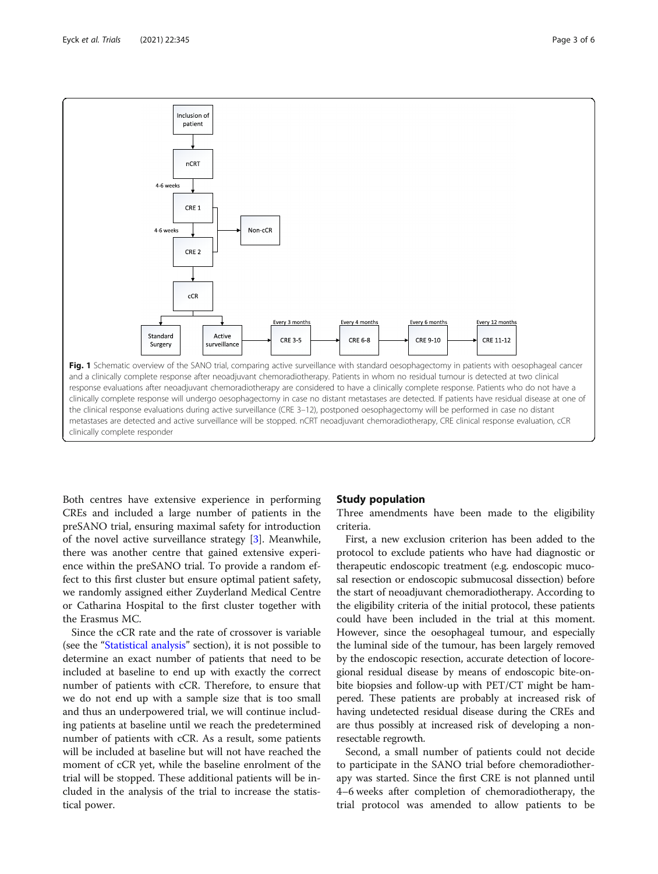<span id="page-2-0"></span>

Both centres have extensive experience in performing CREs and included a large number of patients in the preSANO trial, ensuring maximal safety for introduction of the novel active surveillance strategy [\[3](#page-5-0)]. Meanwhile, there was another centre that gained extensive experience within the preSANO trial. To provide a random effect to this first cluster but ensure optimal patient safety, we randomly assigned either Zuyderland Medical Centre or Catharina Hospital to the first cluster together with the Erasmus MC.

Since the cCR rate and the rate of crossover is variable (see the "[Statistical analysis](#page-4-0)" section), it is not possible to determine an exact number of patients that need to be included at baseline to end up with exactly the correct number of patients with cCR. Therefore, to ensure that we do not end up with a sample size that is too small and thus an underpowered trial, we will continue including patients at baseline until we reach the predetermined number of patients with cCR. As a result, some patients will be included at baseline but will not have reached the moment of cCR yet, while the baseline enrolment of the trial will be stopped. These additional patients will be included in the analysis of the trial to increase the statistical power.

#### Study population

Three amendments have been made to the eligibility criteria.

First, a new exclusion criterion has been added to the protocol to exclude patients who have had diagnostic or therapeutic endoscopic treatment (e.g. endoscopic mucosal resection or endoscopic submucosal dissection) before the start of neoadjuvant chemoradiotherapy. According to the eligibility criteria of the initial protocol, these patients could have been included in the trial at this moment. However, since the oesophageal tumour, and especially the luminal side of the tumour, has been largely removed by the endoscopic resection, accurate detection of locoregional residual disease by means of endoscopic bite-onbite biopsies and follow-up with PET/CT might be hampered. These patients are probably at increased risk of having undetected residual disease during the CREs and are thus possibly at increased risk of developing a nonresectable regrowth.

Second, a small number of patients could not decide to participate in the SANO trial before chemoradiotherapy was started. Since the first CRE is not planned until 4–6 weeks after completion of chemoradiotherapy, the trial protocol was amended to allow patients to be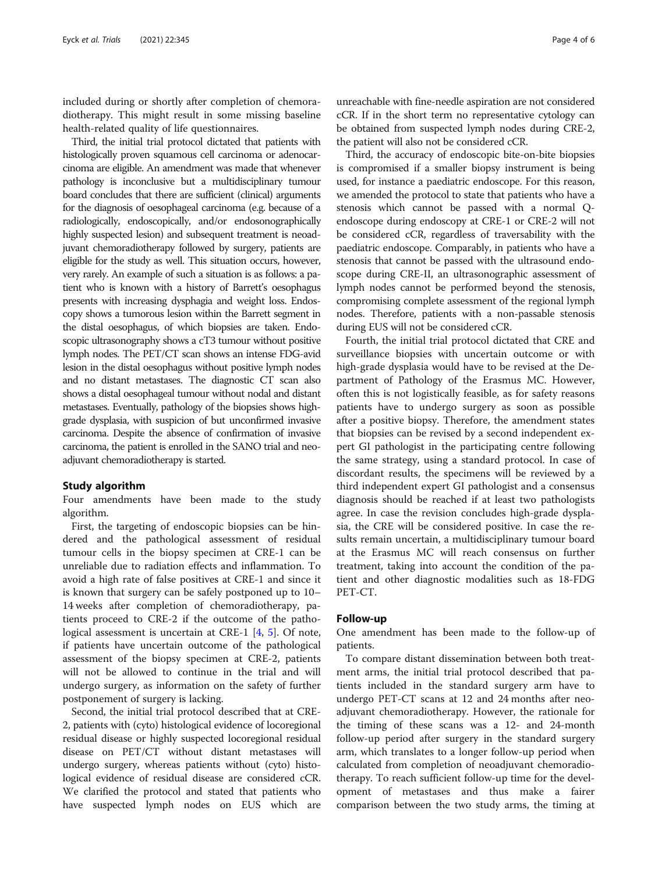included during or shortly after completion of chemoradiotherapy. This might result in some missing baseline health-related quality of life questionnaires.

Third, the initial trial protocol dictated that patients with histologically proven squamous cell carcinoma or adenocarcinoma are eligible. An amendment was made that whenever pathology is inconclusive but a multidisciplinary tumour board concludes that there are sufficient (clinical) arguments for the diagnosis of oesophageal carcinoma (e.g. because of a radiologically, endoscopically, and/or endosonographically highly suspected lesion) and subsequent treatment is neoadjuvant chemoradiotherapy followed by surgery, patients are eligible for the study as well. This situation occurs, however, very rarely. An example of such a situation is as follows: a patient who is known with a history of Barrett's oesophagus presents with increasing dysphagia and weight loss. Endoscopy shows a tumorous lesion within the Barrett segment in the distal oesophagus, of which biopsies are taken. Endoscopic ultrasonography shows a cT3 tumour without positive lymph nodes. The PET/CT scan shows an intense FDG-avid lesion in the distal oesophagus without positive lymph nodes and no distant metastases. The diagnostic CT scan also shows a distal oesophageal tumour without nodal and distant metastases. Eventually, pathology of the biopsies shows highgrade dysplasia, with suspicion of but unconfirmed invasive carcinoma. Despite the absence of confirmation of invasive carcinoma, the patient is enrolled in the SANO trial and neoadjuvant chemoradiotherapy is started.

#### Study algorithm

Four amendments have been made to the study algorithm.

First, the targeting of endoscopic biopsies can be hindered and the pathological assessment of residual tumour cells in the biopsy specimen at CRE-1 can be unreliable due to radiation effects and inflammation. To avoid a high rate of false positives at CRE-1 and since it is known that surgery can be safely postponed up to 10– 14 weeks after completion of chemoradiotherapy, patients proceed to CRE-2 if the outcome of the pathological assessment is uncertain at CRE-1 [[4,](#page-5-0) [5](#page-5-0)]. Of note, if patients have uncertain outcome of the pathological assessment of the biopsy specimen at CRE-2, patients will not be allowed to continue in the trial and will undergo surgery, as information on the safety of further postponement of surgery is lacking.

Second, the initial trial protocol described that at CRE-2, patients with (cyto) histological evidence of locoregional residual disease or highly suspected locoregional residual disease on PET/CT without distant metastases will undergo surgery, whereas patients without (cyto) histological evidence of residual disease are considered cCR. We clarified the protocol and stated that patients who have suspected lymph nodes on EUS which are

unreachable with fine-needle aspiration are not considered cCR. If in the short term no representative cytology can be obtained from suspected lymph nodes during CRE-2, the patient will also not be considered cCR.

Third, the accuracy of endoscopic bite-on-bite biopsies is compromised if a smaller biopsy instrument is being used, for instance a paediatric endoscope. For this reason, we amended the protocol to state that patients who have a stenosis which cannot be passed with a normal Qendoscope during endoscopy at CRE-1 or CRE-2 will not be considered cCR, regardless of traversability with the paediatric endoscope. Comparably, in patients who have a stenosis that cannot be passed with the ultrasound endoscope during CRE-II, an ultrasonographic assessment of lymph nodes cannot be performed beyond the stenosis, compromising complete assessment of the regional lymph nodes. Therefore, patients with a non-passable stenosis during EUS will not be considered cCR.

Fourth, the initial trial protocol dictated that CRE and surveillance biopsies with uncertain outcome or with high-grade dysplasia would have to be revised at the Department of Pathology of the Erasmus MC. However, often this is not logistically feasible, as for safety reasons patients have to undergo surgery as soon as possible after a positive biopsy. Therefore, the amendment states that biopsies can be revised by a second independent expert GI pathologist in the participating centre following the same strategy, using a standard protocol. In case of discordant results, the specimens will be reviewed by a third independent expert GI pathologist and a consensus diagnosis should be reached if at least two pathologists agree. In case the revision concludes high-grade dysplasia, the CRE will be considered positive. In case the results remain uncertain, a multidisciplinary tumour board at the Erasmus MC will reach consensus on further treatment, taking into account the condition of the patient and other diagnostic modalities such as 18-FDG PET-CT.

#### Follow-up

One amendment has been made to the follow-up of patients.

To compare distant dissemination between both treatment arms, the initial trial protocol described that patients included in the standard surgery arm have to undergo PET-CT scans at 12 and 24 months after neoadjuvant chemoradiotherapy. However, the rationale for the timing of these scans was a 12- and 24-month follow-up period after surgery in the standard surgery arm, which translates to a longer follow-up period when calculated from completion of neoadjuvant chemoradiotherapy. To reach sufficient follow-up time for the development of metastases and thus make a fairer comparison between the two study arms, the timing at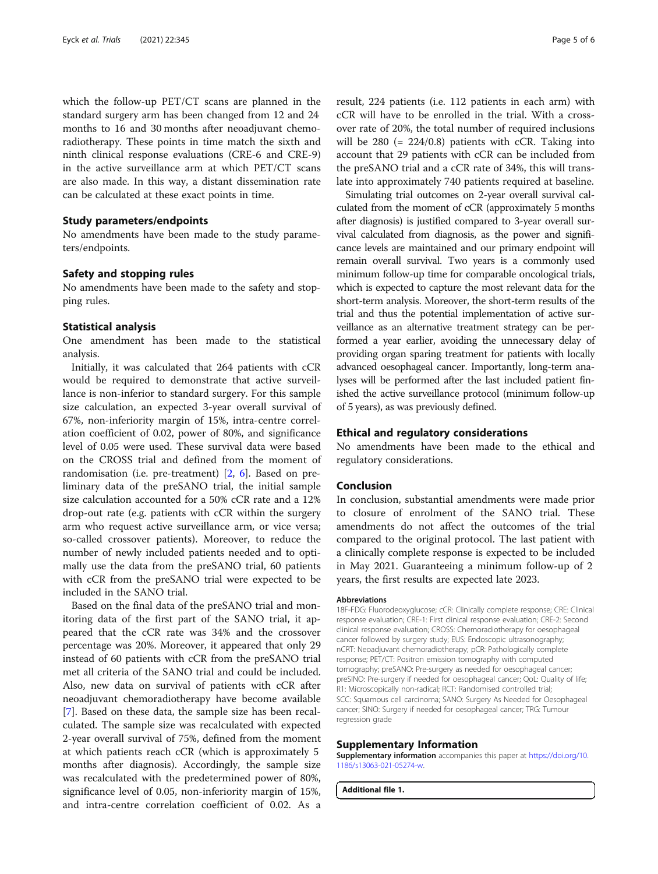<span id="page-4-0"></span>which the follow-up PET/CT scans are planned in the standard surgery arm has been changed from 12 and 24 months to 16 and 30 months after neoadjuvant chemoradiotherapy. These points in time match the sixth and ninth clinical response evaluations (CRE-6 and CRE-9) in the active surveillance arm at which PET/CT scans are also made. In this way, a distant dissemination rate can be calculated at these exact points in time.

#### Study parameters/endpoints

No amendments have been made to the study parameters/endpoints.

#### Safety and stopping rules

No amendments have been made to the safety and stopping rules.

#### Statistical analysis

One amendment has been made to the statistical analysis.

Initially, it was calculated that 264 patients with cCR would be required to demonstrate that active surveillance is non-inferior to standard surgery. For this sample size calculation, an expected 3-year overall survival of 67%, non-inferiority margin of 15%, intra-centre correlation coefficient of 0.02, power of 80%, and significance level of 0.05 were used. These survival data were based on the CROSS trial and defined from the moment of randomisation (i.e. pre-treatment) [[2,](#page-5-0) [6\]](#page-5-0). Based on preliminary data of the preSANO trial, the initial sample size calculation accounted for a 50% cCR rate and a 12% drop-out rate (e.g. patients with cCR within the surgery arm who request active surveillance arm, or vice versa; so-called crossover patients). Moreover, to reduce the number of newly included patients needed and to optimally use the data from the preSANO trial, 60 patients with cCR from the preSANO trial were expected to be included in the SANO trial.

Based on the final data of the preSANO trial and monitoring data of the first part of the SANO trial, it appeared that the cCR rate was 34% and the crossover percentage was 20%. Moreover, it appeared that only 29 instead of 60 patients with cCR from the preSANO trial met all criteria of the SANO trial and could be included. Also, new data on survival of patients with cCR after neoadjuvant chemoradiotherapy have become available [[7\]](#page-5-0). Based on these data, the sample size has been recalculated. The sample size was recalculated with expected 2-year overall survival of 75%, defined from the moment at which patients reach cCR (which is approximately 5 months after diagnosis). Accordingly, the sample size was recalculated with the predetermined power of 80%, significance level of 0.05, non-inferiority margin of 15%, and intra-centre correlation coefficient of 0.02. As a

result, 224 patients (i.e. 112 patients in each arm) with cCR will have to be enrolled in the trial. With a crossover rate of 20%, the total number of required inclusions will be  $280$  (=  $224/0.8$ ) patients with cCR. Taking into account that 29 patients with cCR can be included from the preSANO trial and a cCR rate of 34%, this will translate into approximately 740 patients required at baseline.

Simulating trial outcomes on 2-year overall survival calculated from the moment of cCR (approximately 5 months after diagnosis) is justified compared to 3-year overall survival calculated from diagnosis, as the power and significance levels are maintained and our primary endpoint will remain overall survival. Two years is a commonly used minimum follow-up time for comparable oncological trials, which is expected to capture the most relevant data for the short-term analysis. Moreover, the short-term results of the trial and thus the potential implementation of active surveillance as an alternative treatment strategy can be performed a year earlier, avoiding the unnecessary delay of providing organ sparing treatment for patients with locally advanced oesophageal cancer. Importantly, long-term analyses will be performed after the last included patient finished the active surveillance protocol (minimum follow-up of 5 years), as was previously defined.

#### Ethical and regulatory considerations

No amendments have been made to the ethical and regulatory considerations.

#### Conclusion

In conclusion, substantial amendments were made prior to closure of enrolment of the SANO trial. These amendments do not affect the outcomes of the trial compared to the original protocol. The last patient with a clinically complete response is expected to be included in May 2021. Guaranteeing a minimum follow-up of 2 years, the first results are expected late 2023.

#### Abbreviations

18F-FDG: Fluorodeoxyglucose; cCR: Clinically complete response; CRE: Clinical response evaluation; CRE-1: First clinical response evaluation; CRE-2: Second clinical response evaluation; CROSS: Chemoradiotherapy for oesophageal cancer followed by surgery study; EUS: Endoscopic ultrasonography; nCRT: Neoadjuvant chemoradiotherapy; pCR: Pathologically complete response; PET/CT: Positron emission tomography with computed tomography; preSANO: Pre-surgery as needed for oesophageal cancer; preSINO: Pre-surgery if needed for oesophageal cancer; QoL: Quality of life; R1: Microscopically non-radical; RCT: Randomised controlled trial; SCC: Squamous cell carcinoma; SANO: Surgery As Needed for Oesophageal cancer; SINO: Surgery if needed for oesophageal cancer; TRG: Tumour regression grade

#### Supplementary Information

Supplementary information accompanies this paper at [https://doi.org/10.](https://doi.org/10.1186/s13063-021-05274-w) [1186/s13063-021-05274-w](https://doi.org/10.1186/s13063-021-05274-w).

Additional file 1.